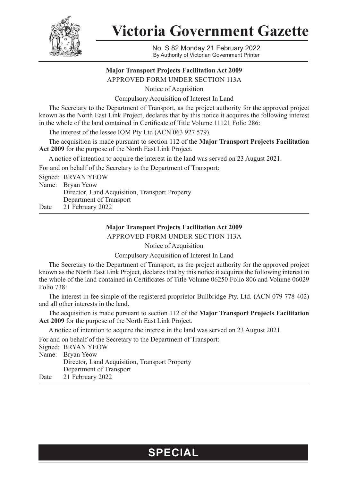

**Victoria Government Gazette**

No. S 82 Monday 21 February 2022 By Authority of Victorian Government Printer

#### **Major Transport Projects Facilitation Act 2009**

APPROVED FORM UNDER SECTION 113A

Notice of Acquisition

Compulsory Acquisition of Interest In Land

The Secretary to the Department of Transport, as the project authority for the approved project known as the North East Link Project, declares that by this notice it acquires the following interest in the whole of the land contained in Certificate of Title Volume 11121 Folio 286:

The interest of the lessee IOM Pty Ltd (ACN 063 927 579).

The acquisition is made pursuant to section 112 of the **Major Transport Projects Facilitation Act 2009** for the purpose of the North East Link Project.

A notice of intention to acquire the interest in the land was served on 23 August 2021.

For and on behalf of the Secretary to the Department of Transport:

Signed: BRYAN YEOW Name: Bryan Yeow Director, Land Acquisition, Transport Property Department of Transport Date 21 February 2022

#### **Major Transport Projects Facilitation Act 2009**

APPROVED FORM UNDER SECTION 113A

Notice of Acquisition

Compulsory Acquisition of Interest In Land

The Secretary to the Department of Transport, as the project authority for the approved project known as the North East Link Project, declares that by this notice it acquires the following interest in the whole of the land contained in Certificates of Title Volume 06250 Folio 806 and Volume 06029 Folio 738:

The interest in fee simple of the registered proprietor Bullbridge Pty. Ltd. (ACN 079 778 402) and all other interests in the land.

The acquisition is made pursuant to section 112 of the **Major Transport Projects Facilitation Act 2009** for the purpose of the North East Link Project.

A notice of intention to acquire the interest in the land was served on 23 August 2021.

For and on behalf of the Secretary to the Department of Transport: Signed: BRYAN YEOW Name: Bryan Yeow Director, Land Acquisition, Transport Property Department of Transport Date 21 February 2022

## **SPECIAL**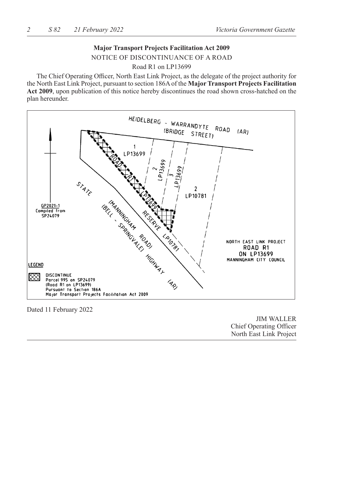#### **Major Transport Projects Facilitation Act 2009** NOTICE OF DISCONTINUANCE OF A ROAD

Road R1 on LP13699

The Chief Operating Officer, North East Link Project, as the delegate of the project authority for the North East Link Project, pursuant to section 186A of the **Major Transport Projects Facilitation Act 2009**, upon publication of this notice hereby discontinues the road shown cross-hatched on the plan hereunder.



Dated 11 February 2022

JIM WALLER Chief Operating Officer North East Link Project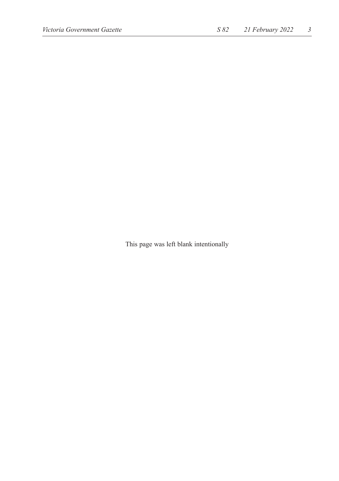This page was left blank intentionally